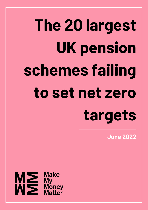# **The 20 largest UK pension schemes failing to set net zero targets**

**June 2022**

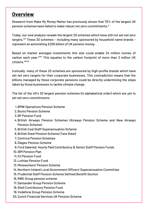#### **Overview**

Research from Make My Money Matter has previously shown that 70% of the largest UK pension schemes have failed to make robust net zero commitments.\*

Today, our new analysis reveals the largest 20 schemes which have still not set net zero targets.\*\* These 20 schemes – including many sponsored by household name brands – represent an astonishing £200 billion of UK pension money.

Based on market averages investments this size could enable 24 million tonnes of carbon each year.\*\*\* This equates to the carbon footprint of more than 3 million UK citizens.\*\*\*\*

Ironically, many of these 20 schemes are sponsored by high-profile brands which have set net zero targets for their corporate businesses. This contradiction means that the billions managed by these corporate pensions could be directly undermining the steps taken by those businesses to tackle climate change.

The list of the UK's 20 largest pension schemes (in alphabetical order) which are yet to set net zero commitments:

- 1. BMW Operations Pension Scheme
- 2. Boots Pension Scheme
- 3. BP Pension Fund
- 4. British Airways Pension Schemes (Airways Pension Scheme and New Airways Pension Scheme)
- 5. British Coal Staff Superannuation Scheme
- 6. British Steel Pension Scheme (Tata Steel)
- 7. Centrica Pension Schemes
- 8. Diageo Pension Scheme
- Ford Salaried; Hourly Paid Contributory & Senior Staff Pension Funds 9.
- 10. IBM Pension Plan
- 11. ICI Pension Fund
- 12. Lothian Pension Fund
- 13. Mineworkers' Pension Scheme
- 14. Northern Ireland Local Government Officers' Superannuation Committee
- 15. Prudential Staff Pension Scheme Defined Benefit Section
- 16. RWE Group pension scheme
- 17. Santander Group Pension Scheme
- 18. Shell Contributory Pension Fund
- 19. Vodafone Group Pension Scheme
- Zurich Financial Services UK Pension Scheme 20.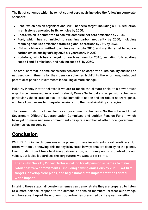**The list of schemes which have not set net zero goals includes the following corporate sponsors:**

- **BMW, which has an organisational 2050 net zero target, including a 40% reduction in emissions generated by its vehicles by 2030.**
- **Boots, which is committed to achieve complete net zero emissions by 2040.**
- **Ford, which has committed to reaching carbon neutrality by 2050, including reducing absolute emissions from its global operations by 76% by 2035.**
- **IBM, which has committed to achieve net zero by 2030, and met its target to reduce carbon emissions by 40% by 2025 six years early in 2019.**
- **Vodafone, which has a target to reach net zero by 2040, including fully abating scope 1 and 2 emissions, and halving scope 3, by 2030.**

The stark contrast in some cases between action on corporate sustainability and lack of net zero commitments by their pension schemes highlights the enormous, untapped potential of pension investments in tackling climate change.

Make My Money Matter believes if we are to tackle the climate crisis, this power must urgently be harnessed. As a result, Make My Money Matter calls on all pension schemes particularly those listed above - to take immediate action and set robust net zero goals, and for all businesses to integrate pensions into their sustainability strategies.

The research also includes two local government schemes – Northern Ireland Local Government Officers' Superannuation Committee and Lothian Pension Fund – which have yet to make net zero commitments despite a number of other local government schemes having done so.

#### **Conclusion**

With £2.7 trillion in UK pensions – the power of these investments is extraordinary. But often, without us knowing, this money is invested in ways that are destroying the planet. From funding fossil fuels to driving deforestation, our money not only contradicts our values, but it also jeopardises the very futures we want to retire into.

That's why Make My Money Matter is calling for **all pension schemes to make robust net zero commitments - including halving emissions by 2030 - set firm targets, develop clear plans, and begin immediate implementation for real world impact.**

In taking these steps, all pension schemes can demonstrate they are prepared to listen to climate science, respond to the demand of pension members, protect our savings and take advantage of the economic opportunities presented by the green transition.